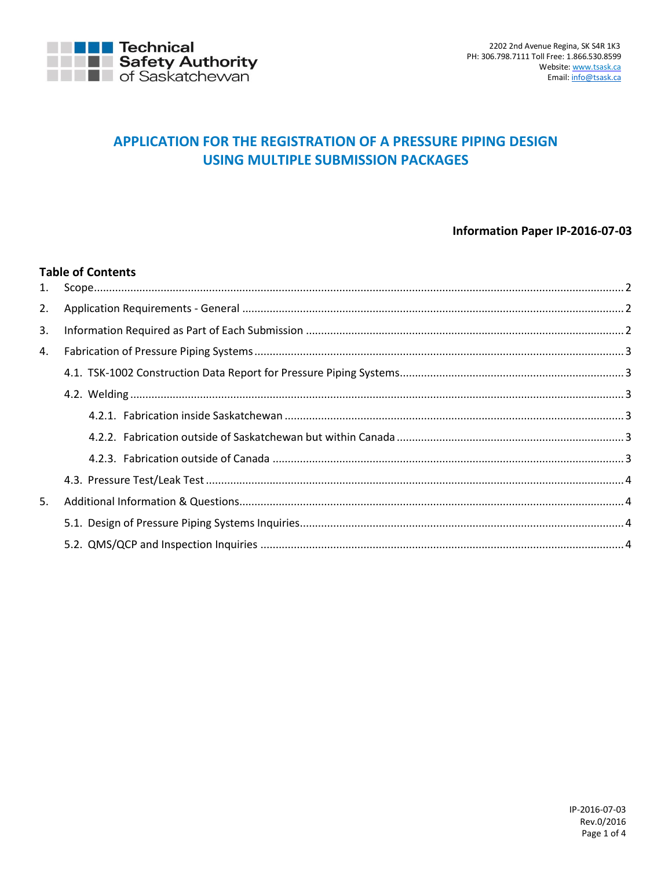

# APPLICATION FOR THE REGISTRATION OF A PRESSURE PIPING DESIGN **USING MULTIPLE SUBMISSION PACKAGES**

## Information Paper IP-2016-07-03

#### **Table of Contents**

| 2. |  |
|----|--|
| 3. |  |
| 4. |  |
|    |  |
|    |  |
|    |  |
|    |  |
|    |  |
|    |  |
| 5. |  |
|    |  |
|    |  |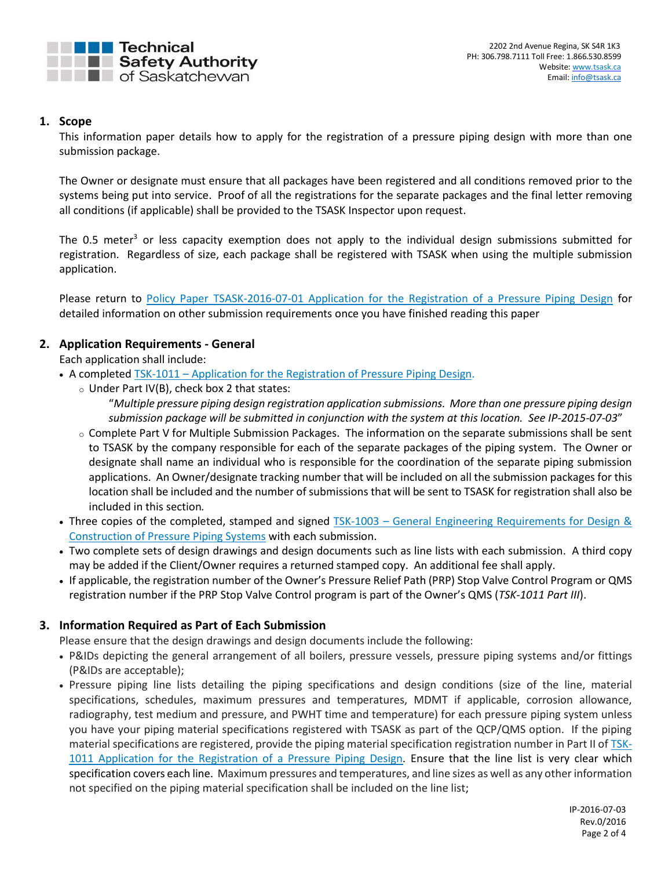

## <span id="page-1-0"></span>**1. Scope**

This information paper details how to apply for the registration of a pressure piping design with more than one submission package.

The Owner or designate must ensure that all packages have been registered and all conditions removed prior to the systems being put into service. Proof of all the registrations for the separate packages and the final letter removing all conditions (if applicable) shall be provided to the TSASK Inspector upon request.

The 0.5 meter<sup>3</sup> or less capacity exemption does not apply to the individual design submissions submitted for registration. Regardless of size, each package shall be registered with TSASK when using the multiple submission application.

Please return to [Policy Paper TSASK-2016-07-01 Application for the Registration of a Pressure Piping Design](http://www.tsask.ca/public/pdf/2016%20Pressure%20Piping/TSASK-2016-07-01_-_Application_for_Pressure_Piping_Review.pdf) for detailed information on other submission requirements once you have finished reading this paper

# <span id="page-1-1"></span>**2. Application Requirements - General**

Each application shall include:

- A completed TSK-1011 [Application for the Registration of Pressure Piping Design.](http://www.tsask.ca/public/pdf/2016%20Pressure%20Piping/TSK-1011_-_Application_for_the_Registration_of_a_Pressure_Piping_Design_Form.pdf)
	- $\circ$  Under Part IV(B), check box 2 that states: "*Multiple pressure piping design registration application submissions. More than one pressure piping design submission package will be submitted in conjunction with the system at this location. See IP-2015-07-03*"
	- o Complete Part V for Multiple Submission Packages. The information on the separate submissions shall be sent to TSASK by the company responsible for each of the separate packages of the piping system. The Owner or designate shall name an individual who is responsible for the coordination of the separate piping submission applications. An Owner/designate tracking number that will be included on all the submission packages for this location shall be included and the number of submissions that will be sent to TSASK for registration shall also be included in this section*.*
- Three copies of the completed, stamped and signed TSK-1003 [General Engineering Requirements for Design &](http://www.tsask.ca/public/pdf/2016%20Pressure%20Piping/TSK-1003_-_General_Engineering_Requirements_for_Pressure_Piping.pdf)  [Construction of Pressure Piping Systems](http://www.tsask.ca/public/pdf/2016%20Pressure%20Piping/TSK-1003_-_General_Engineering_Requirements_for_Pressure_Piping.pdf) with each submission.
- Two complete sets of design drawings and design documents such as line lists with each submission. A third copy may be added if the Client/Owner requires a returned stamped copy. An additional fee shall apply.
- If applicable, the registration number of the Owner's Pressure Relief Path (PRP) Stop Valve Control Program or QMS registration number if the PRP Stop Valve Control program is part of the Owner's QMS (*TSK-1011 Part III*).

## <span id="page-1-2"></span>**3. Information Required as Part of Each Submission**

Please ensure that the design drawings and design documents include the following:

- P&IDs depicting the general arrangement of all boilers, pressure vessels, pressure piping systems and/or fittings (P&IDs are acceptable);
- Pressure piping line lists detailing the piping specifications and design conditions (size of the line, material specifications, schedules, maximum pressures and temperatures, MDMT if applicable, corrosion allowance, radiography, test medium and pressure, and PWHT time and temperature) for each pressure piping system unless you have your piping material specifications registered with TSASK as part of the QCP/QMS option. If the piping material specifications are registered, provide the piping material specification registration number in Part II o[f TSK-](http://www.tsask.ca/public/pdf/2016%20Pressure%20Piping/TSK-1011_-_Application_for_the_Registration_of_a_Pressure_Piping_Design_Form.pdf)[1011 Application for the Registration of a Pressure Piping Design](http://www.tsask.ca/public/pdf/2016%20Pressure%20Piping/TSK-1011_-_Application_for_the_Registration_of_a_Pressure_Piping_Design_Form.pdf)*.* Ensure that the line list is very clear which specification covers each line. Maximum pressures and temperatures, and line sizes as well as any other information not specified on the piping material specification shall be included on the line list;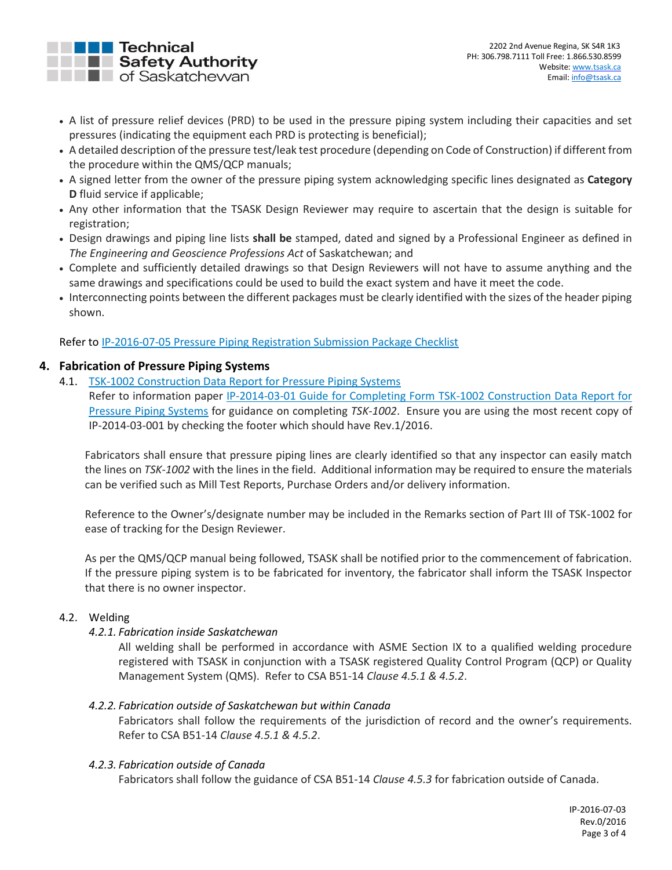

- A list of pressure relief devices (PRD) to be used in the pressure piping system including their capacities and set pressures (indicating the equipment each PRD is protecting is beneficial);
- A detailed description of the pressure test/leak test procedure (depending on Code of Construction) if different from the procedure within the QMS/QCP manuals;
- A signed letter from the owner of the pressure piping system acknowledging specific lines designated as **Category D** fluid service if applicable;
- Any other information that the TSASK Design Reviewer may require to ascertain that the design is suitable for registration;
- Design drawings and piping line lists **shall be** stamped, dated and signed by a Professional Engineer as defined in *The Engineering and Geoscience Professions Act* of Saskatchewan; and
- Complete and sufficiently detailed drawings so that Design Reviewers will not have to assume anything and the same drawings and specifications could be used to build the exact system and have it meet the code.
- Interconnecting points between the different packages must be clearly identified with the sizes of the header piping shown.

Refer t[o IP-2016-07-05 Pressure Piping Registration Submission Package Checklist](http://www.tsask.ca/public/pdf/2016%20Pressure%20Piping/IP-2016-07-05_-_Pressure_Piping_Registration_Submission_Package_Checklist.pdf)

## <span id="page-2-0"></span>**4. Fabrication of Pressure Piping Systems**

4.1. [TSK-1002 Construction Data Report for Pressure Piping Systems](http://www.tsask.ca/public/pdf/2016%20Pressure%20Piping/TSK-1002_-_Construction_Data_Report_for_Pressure_Piping_Systems.pdf)

<span id="page-2-1"></span>Refer to information paper [IP-2014-03-01 Guide for Completing Form TSK-1002 Construction Data](http://www.tsask.ca/public/pdf/2016%20Pressure%20Piping/IP-2014-03-01_-_Guide_for_Completing_Form_TSK-1002.pdf) Report for [Pressure Piping Systems](http://www.tsask.ca/public/pdf/2016%20Pressure%20Piping/IP-2014-03-01_-_Guide_for_Completing_Form_TSK-1002.pdf) for guidance on completing *TSK-1002*. Ensure you are using the most recent copy of IP-2014-03-001 by checking the footer which should have Rev.1/2016.

Fabricators shall ensure that pressure piping lines are clearly identified so that any inspector can easily match the lines on *TSK-1002* with the lines in the field. Additional information may be required to ensure the materials can be verified such as Mill Test Reports, Purchase Orders and/or delivery information.

Reference to the Owner's/designate number may be included in the Remarks section of Part III of TSK-1002 for ease of tracking for the Design Reviewer.

As per the QMS/QCP manual being followed, TSASK shall be notified prior to the commencement of fabrication. If the pressure piping system is to be fabricated for inventory, the fabricator shall inform the TSASK Inspector that there is no owner inspector.

### <span id="page-2-3"></span><span id="page-2-2"></span>4.2. Welding

*4.2.1. Fabrication inside Saskatchewan*

All welding shall be performed in accordance with ASME Section IX to a qualified welding procedure registered with TSASK in conjunction with a TSASK registered Quality Control Program (QCP) or Quality Management System (QMS). Refer to CSA B51-14 *Clause 4.5.1 & 4.5.2*.

### <span id="page-2-4"></span>*4.2.2. Fabrication outside of Saskatchewan but within Canada*

Fabricators shall follow the requirements of the jurisdiction of record and the owner's requirements. Refer to CSA B51-14 *Clause 4.5.1 & 4.5.2*.

### <span id="page-2-5"></span>*4.2.3. Fabrication outside of Canada*

Fabricators shall follow the guidance of CSA B51-14 *Clause 4.5.3* for fabrication outside of Canada.